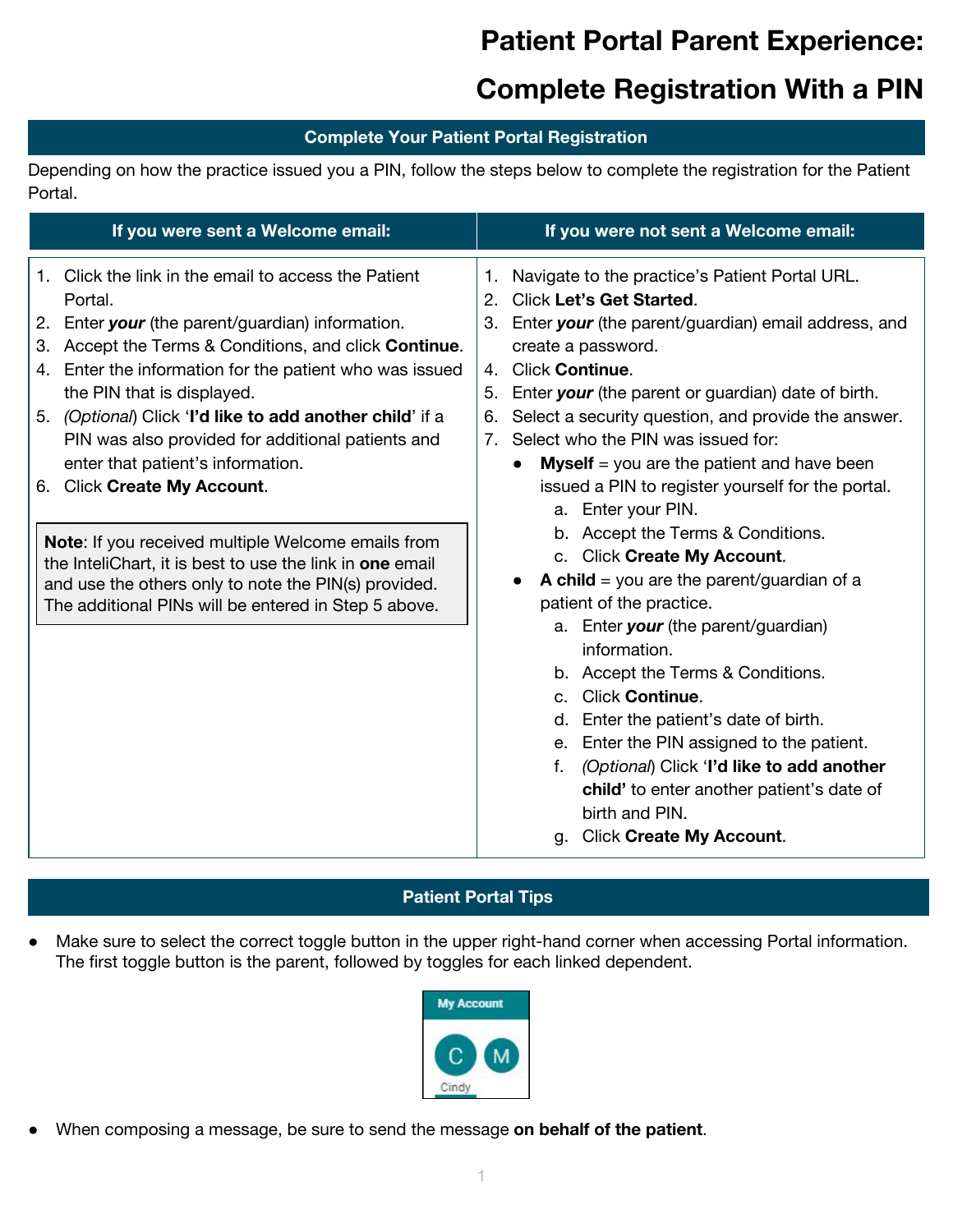# **Patient Portal Parent Experience:**

## **Complete Registration With a PIN**

#### **Complete Your Patient Portal Registration**

Depending on how the practice issued you a PIN, follow the steps below to complete the registration for the Patient Portal.

| If you were sent a Welcome email:                                                                                                                                                                                                                                                                                                                                                                                                                                                                                                                                                                                                                                                                                  | If you were not sent a Welcome email:                                                                                                                                                                                                                                                                                                                                                                                                                                                                                                                                                                                                                                                                                                                                                                                                                                                                                                                                                                               |
|--------------------------------------------------------------------------------------------------------------------------------------------------------------------------------------------------------------------------------------------------------------------------------------------------------------------------------------------------------------------------------------------------------------------------------------------------------------------------------------------------------------------------------------------------------------------------------------------------------------------------------------------------------------------------------------------------------------------|---------------------------------------------------------------------------------------------------------------------------------------------------------------------------------------------------------------------------------------------------------------------------------------------------------------------------------------------------------------------------------------------------------------------------------------------------------------------------------------------------------------------------------------------------------------------------------------------------------------------------------------------------------------------------------------------------------------------------------------------------------------------------------------------------------------------------------------------------------------------------------------------------------------------------------------------------------------------------------------------------------------------|
| 1. Click the link in the email to access the Patient<br>Portal.<br>Enter your (the parent/guardian) information.<br>2.<br>Accept the Terms & Conditions, and click Continue.<br>3.<br>Enter the information for the patient who was issued<br>4.<br>the PIN that is displayed.<br>(Optional) Click 'I'd like to add another child' if a<br>5.<br>PIN was also provided for additional patients and<br>enter that patient's information.<br><b>Click Create My Account.</b><br>6.<br>Note: If you received multiple Welcome emails from<br>the InteliChart, it is best to use the link in one email<br>and use the others only to note the PIN(s) provided.<br>The additional PINs will be entered in Step 5 above. | Navigate to the practice's Patient Portal URL.<br>1.<br><b>Click Let's Get Started.</b><br>2.<br>3. Enter your (the parent/guardian) email address, and<br>create a password.<br><b>Click Continue.</b><br>$\overline{4}$<br>Enter your (the parent or guardian) date of birth.<br>5.<br>Select a security question, and provide the answer.<br>6.<br>Select who the PIN was issued for:<br>7.<br><b>Myself</b> = you are the patient and have been<br>issued a PIN to register yourself for the portal.<br>Enter your PIN.<br>a.<br>b. Accept the Terms & Conditions.<br>c. Click Create My Account.<br><b>A child</b> = you are the parent/guardian of a<br>patient of the practice.<br>a. Enter your (the parent/guardian)<br>information.<br>b. Accept the Terms & Conditions.<br><b>Click Continue.</b><br>C.<br>Enter the patient's date of birth.<br>d.<br>Enter the PIN assigned to the patient.<br>$e_{1}$<br>(Optional) Click 'I'd like to add another<br>f.<br>child' to enter another patient's date of |
|                                                                                                                                                                                                                                                                                                                                                                                                                                                                                                                                                                                                                                                                                                                    | birth and PIN.<br><b>Click Create My Account.</b><br>a.                                                                                                                                                                                                                                                                                                                                                                                                                                                                                                                                                                                                                                                                                                                                                                                                                                                                                                                                                             |

### **Patient Portal Tips**

● Make sure to select the correct toggle button in the upper right-hand corner when accessing Portal information. The first toggle button is the parent, followed by toggles for each linked dependent.



● When composing a message, be sure to send the message **on behalf of the patient**.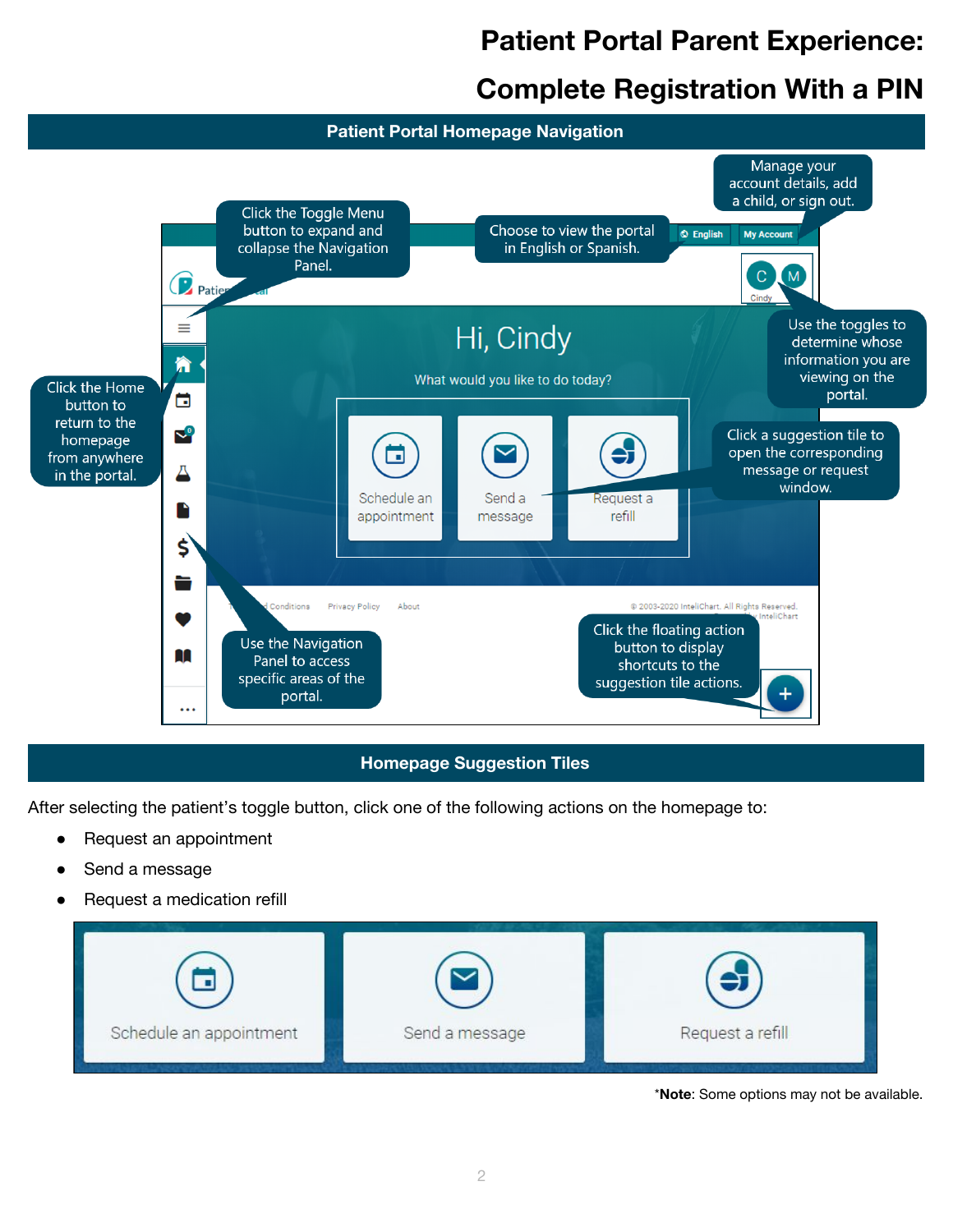# **Patient Portal Parent Experience:**

## **Complete Registration With a PIN**



### **Homepage Suggestion Tiles**

After selecting the patient's toggle button, click one of the following actions on the homepage to:

- Request an appointment
- Send a message
- Request a medication refill



\***Note**: Some options may not be available.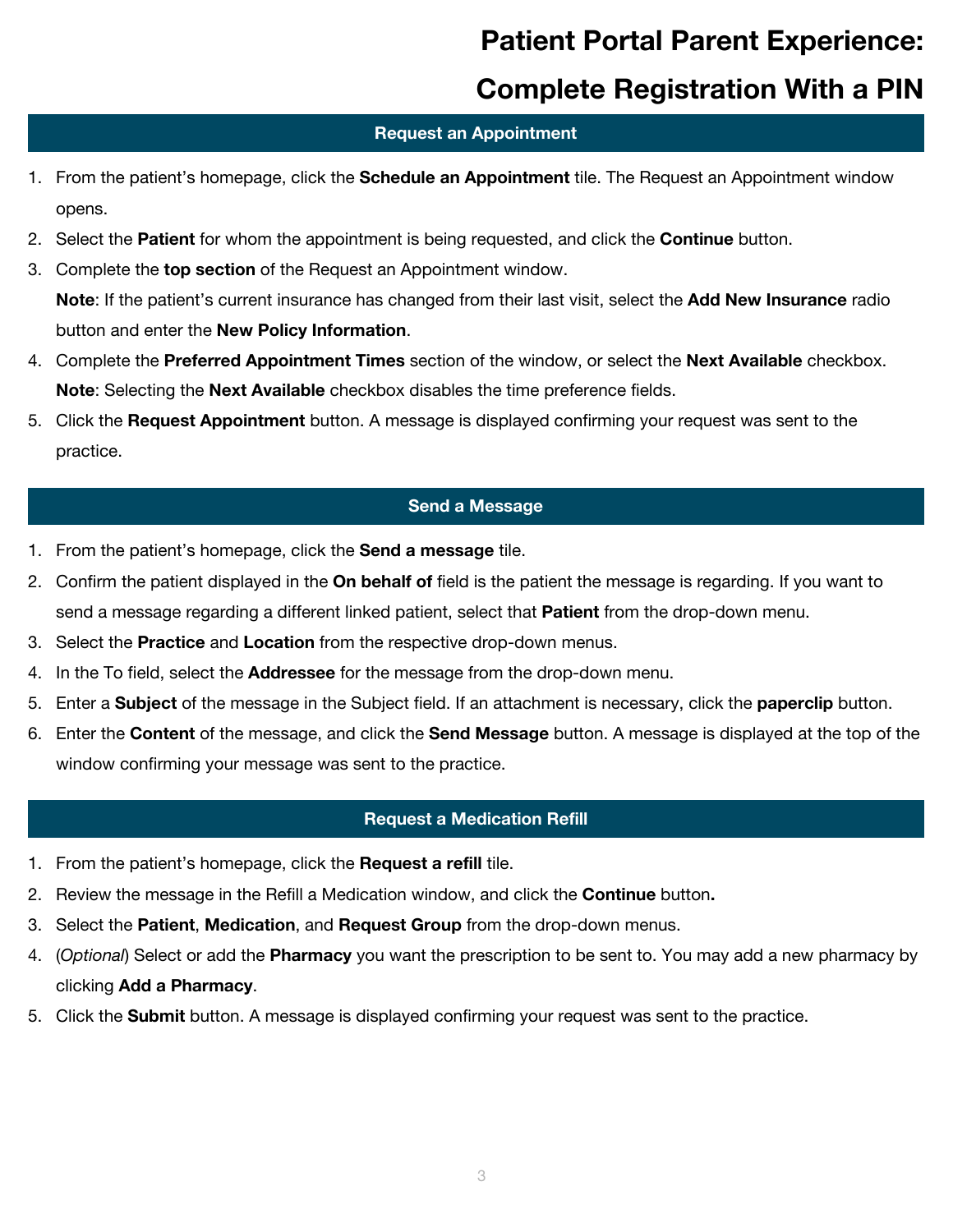# **Patient Portal Parent Experience:**

### **Complete Registration With a PIN**

#### **Request an Appointment**

- 1. From the patient's homepage, click the **Schedule an Appointment** tile. The Request an Appointment window opens.
- 2. Select the **Patient** for whom the appointment is being requested, and click the **Continue** button.
- 3. Complete the **top section** of the Request an Appointment window. **Note**: If the patient's current insurance has changed from their last visit, select the **Add New Insurance** radio button and enter the **New Policy Information**.
- 4. Complete the **Preferred Appointment Times** section of the window, or select the **Next Available** checkbox. **Note**: Selecting the **Next Available** checkbox disables the time preference fields.
- 5. Click the **Request Appointment** button. A message is displayed confirming your request was sent to the practice.

#### **Send a Message**

- 1. From the patient's homepage, click the **Send a message** tile.
- 2. Confirm the patient displayed in the **On behalf of** field is the patient the message is regarding. If you want to send a message regarding a different linked patient, select that **Patient** from the drop-down menu.
- 3. Select the **Practice** and **Location** from the respective drop-down menus.
- 4. In the To field, select the **Addressee** for the message from the drop-down menu.
- 5. Enter a **Subject** of the message in the Subject field. If an attachment is necessary, click the **paperclip** button.
- 6. Enter the **Content** of the message, and click the **Send Message** button. A message is displayed at the top of the window confirming your message was sent to the practice.

#### **Request a Medication Refill**

- 1. From the patient's homepage, click the **Request a refill** tile.
- 2. Review the message in the Refill a Medication window, and click the **Continue** button**.**
- 3. Select the **Patient**, **Medication**, and **Request Group** from the drop-down menus.
- 4. (*Optional*) Select or add the **Pharmacy** you want the prescription to be sent to. You may add a new pharmacy by clicking **Add a Pharmacy**.
- 5. Click the **Submit** button. A message is displayed confirming your request was sent to the practice.